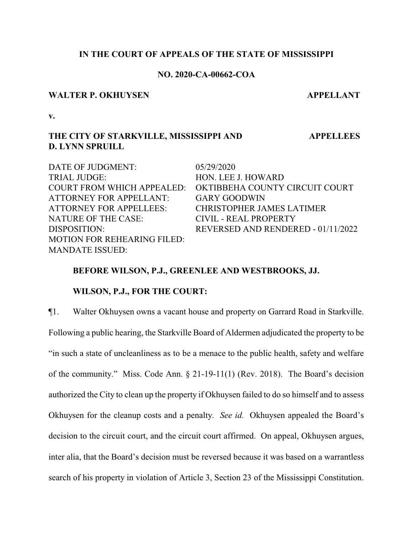## **IN THE COURT OF APPEALS OF THE STATE OF MISSISSIPPI**

# **NO. 2020-CA-00662-COA**

## **WALTER P. OKHUYSEN APPELLANT**

**APPELLEES**

**v.**

# **THE CITY OF STARKVILLE, MISSISSIPPI AND D. LYNN SPRUILL**

DATE OF JUDGMENT:  $05/29/2020$ TRIAL JUDGE: HON. LEE J. HOWARD COURT FROM WHICH APPEALED: OKTIBBEHA COUNTY CIRCUIT COURT ATTORNEY FOR APPELLANT: GARY GOODWIN ATTORNEY FOR APPELLEES: CHRISTOPHER JAMES LATIMER NATURE OF THE CASE: CIVIL - REAL PROPERTY DISPOSITION: REVERSED AND RENDERED - 01/11/2022 MOTION FOR REHEARING FILED: MANDATE ISSUED:

# **BEFORE WILSON, P.J., GREENLEE AND WESTBROOKS, JJ.**

# **WILSON, P.J., FOR THE COURT:**

¶1. Walter Okhuysen owns a vacant house and property on Garrard Road in Starkville. Following a public hearing, the Starkville Board of Aldermen adjudicated the property to be "in such a state of uncleanliness as to be a menace to the public health, safety and welfare of the community." Miss. Code Ann. § 21-19-11(1) (Rev. 2018). The Board's decision authorized the City to clean up the property if Okhuysen failed to do so himself and to assess Okhuysen for the cleanup costs and a penalty. *See id.* Okhuysen appealed the Board's decision to the circuit court, and the circuit court affirmed. On appeal, Okhuysen argues, inter alia, that the Board's decision must be reversed because it was based on a warrantless search of his property in violation of Article 3, Section 23 of the Mississippi Constitution.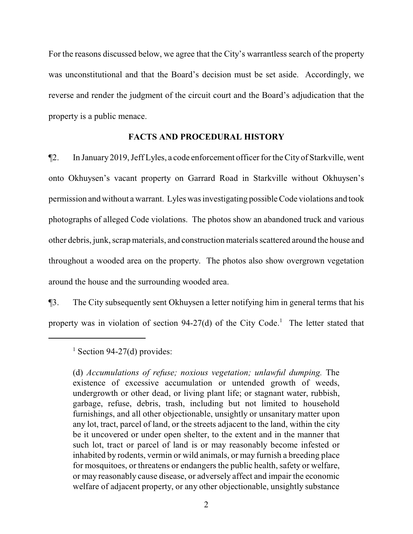For the reasons discussed below, we agree that the City's warrantless search of the property was unconstitutional and that the Board's decision must be set aside. Accordingly, we reverse and render the judgment of the circuit court and the Board's adjudication that the property is a public menace.

## **FACTS AND PROCEDURAL HISTORY**

¶2. In January 2019, Jeff Lyles, a code enforcement officer for the City of Starkville, went onto Okhuysen's vacant property on Garrard Road in Starkville without Okhuysen's permission and without a warrant. Lyles was investigating possible Code violations and took photographs of alleged Code violations. The photos show an abandoned truck and various other debris, junk, scrap materials, and construction materials scattered around the house and throughout a wooded area on the property. The photos also show overgrown vegetation around the house and the surrounding wooded area.

¶3. The City subsequently sent Okhuysen a letter notifying him in general terms that his property was in violation of section 94-27(d) of the City Code.<sup>1</sup> The letter stated that

 $<sup>1</sup>$  Section 94-27(d) provides:</sup>

(d) *Accumulations of refuse; noxious vegetation; unlawful dumping.* The existence of excessive accumulation or untended growth of weeds, undergrowth or other dead, or living plant life; or stagnant water, rubbish, garbage, refuse, debris, trash, including but not limited to household furnishings, and all other objectionable, unsightly or unsanitary matter upon any lot, tract, parcel of land, or the streets adjacent to the land, within the city be it uncovered or under open shelter, to the extent and in the manner that such lot, tract or parcel of land is or may reasonably become infested or inhabited by rodents, vermin or wild animals, or may furnish a breeding place for mosquitoes, or threatens or endangers the public health, safety or welfare, or may reasonably cause disease, or adversely affect and impair the economic welfare of adjacent property, or any other objectionable, unsightly substance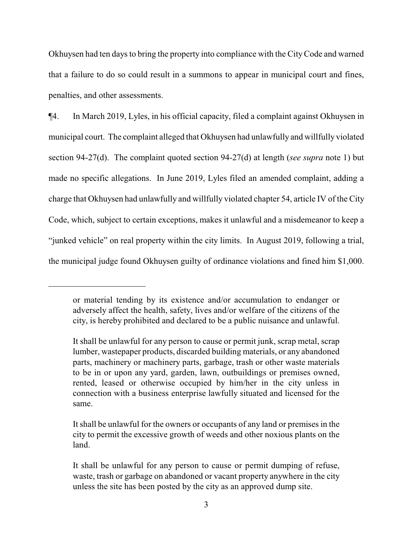Okhuysen had ten days to bring the property into compliance with the CityCode and warned that a failure to do so could result in a summons to appear in municipal court and fines, penalties, and other assessments.

¶4. In March 2019, Lyles, in his official capacity, filed a complaint against Okhuysen in municipal court. The complaint alleged that Okhuysen had unlawfully and willfully violated section 94-27(d). The complaint quoted section 94-27(d) at length (*see supra* note 1) but made no specific allegations. In June 2019, Lyles filed an amended complaint, adding a charge that Okhuysen had unlawfully and willfully violated chapter 54, article IV of the City Code, which, subject to certain exceptions, makes it unlawful and a misdemeanor to keep a "junked vehicle" on real property within the city limits. In August 2019, following a trial, the municipal judge found Okhuysen guilty of ordinance violations and fined him \$1,000.

or material tending by its existence and/or accumulation to endanger or adversely affect the health, safety, lives and/or welfare of the citizens of the city, is hereby prohibited and declared to be a public nuisance and unlawful.

It shall be unlawful for any person to cause or permit junk, scrap metal, scrap lumber, wastepaper products, discarded building materials, or any abandoned parts, machinery or machinery parts, garbage, trash or other waste materials to be in or upon any yard, garden, lawn, outbuildings or premises owned, rented, leased or otherwise occupied by him/her in the city unless in connection with a business enterprise lawfully situated and licensed for the same.

It shall be unlawful for the owners or occupants of any land or premises in the city to permit the excessive growth of weeds and other noxious plants on the land.

It shall be unlawful for any person to cause or permit dumping of refuse, waste, trash or garbage on abandoned or vacant property anywhere in the city unless the site has been posted by the city as an approved dump site.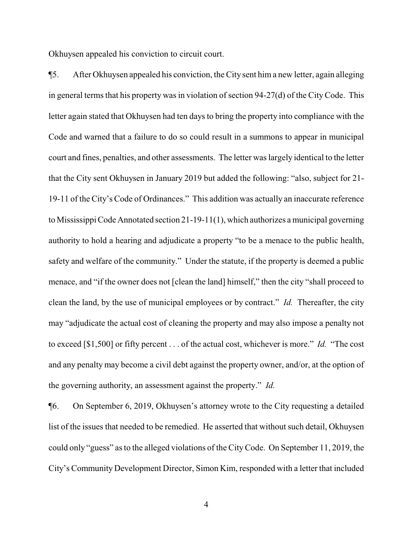Okhuysen appealed his conviction to circuit court.

¶5. After Okhuysen appealed his conviction, the City sent hima new letter, again alleging in general terms that his property was in violation of section 94-27(d) of the CityCode. This letter again stated that Okhuysen had ten days to bring the property into compliance with the Code and warned that a failure to do so could result in a summons to appear in municipal court and fines, penalties, and other assessments. The letter was largely identical to the letter that the City sent Okhuysen in January 2019 but added the following: "also, subject for 21- 19-11 of the City's Code of Ordinances." This addition was actually an inaccurate reference to Mississippi Code Annotated section 21-19-11(1), which authorizes a municipal governing authority to hold a hearing and adjudicate a property "to be a menace to the public health, safety and welfare of the community." Under the statute, if the property is deemed a public menace, and "if the owner does not [clean the land] himself," then the city "shall proceed to clean the land, by the use of municipal employees or by contract." *Id.* Thereafter, the city may "adjudicate the actual cost of cleaning the property and may also impose a penalty not to exceed [\$1,500] or fifty percent . . . of the actual cost, whichever is more." *Id.* "The cost and any penalty may become a civil debt against the property owner, and/or, at the option of the governing authority, an assessment against the property." *Id.*

¶6. On September 6, 2019, Okhuysen's attorney wrote to the City requesting a detailed list of the issues that needed to be remedied. He asserted that without such detail, Okhuysen could only "guess" as to the alleged violations of the CityCode. On September 11, 2019, the City's Community Development Director, Simon Kim, responded with a letter that included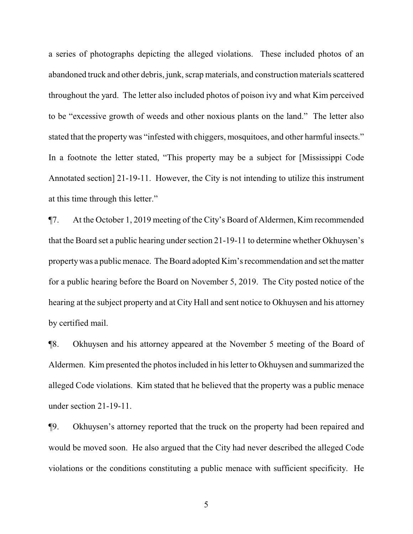a series of photographs depicting the alleged violations. These included photos of an abandoned truck and other debris, junk, scrap materials, and construction materials scattered throughout the yard. The letter also included photos of poison ivy and what Kim perceived to be "excessive growth of weeds and other noxious plants on the land." The letter also stated that the property was "infested with chiggers, mosquitoes, and other harmful insects." In a footnote the letter stated, "This property may be a subject for [Mississippi Code Annotated section] 21-19-11. However, the City is not intending to utilize this instrument at this time through this letter."

¶7. At the October 1, 2019 meeting of the City's Board of Aldermen, Kim recommended that the Board set a public hearing under section 21-19-11 to determine whether Okhuysen's propertywas a public menace. The Board adopted Kim's recommendation and set the matter for a public hearing before the Board on November 5, 2019. The City posted notice of the hearing at the subject property and at City Hall and sent notice to Okhuysen and his attorney by certified mail.

¶8. Okhuysen and his attorney appeared at the November 5 meeting of the Board of Aldermen. Kim presented the photos included in his letter to Okhuysen and summarized the alleged Code violations. Kim stated that he believed that the property was a public menace under section 21-19-11.

¶9. Okhuysen's attorney reported that the truck on the property had been repaired and would be moved soon. He also argued that the City had never described the alleged Code violations or the conditions constituting a public menace with sufficient specificity. He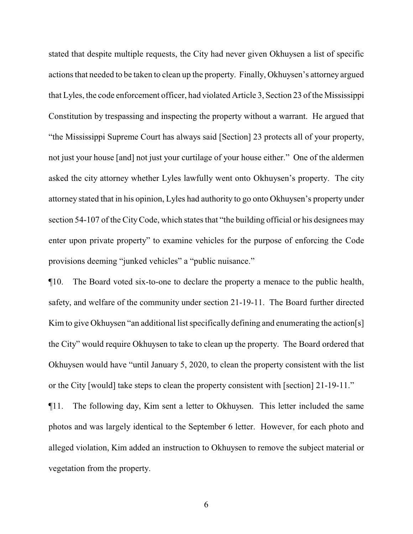stated that despite multiple requests, the City had never given Okhuysen a list of specific actions that needed to be taken to clean up the property. Finally, Okhuysen's attorney argued that Lyles, the code enforcement officer, had violated Article 3, Section 23 of the Mississippi Constitution by trespassing and inspecting the property without a warrant. He argued that "the Mississippi Supreme Court has always said [Section] 23 protects all of your property, not just your house [and] not just your curtilage of your house either." One of the aldermen asked the city attorney whether Lyles lawfully went onto Okhuysen's property. The city attorney stated that in his opinion, Lyles had authority to go onto Okhuysen's property under section 54-107 of the City Code, which states that "the building official or his designees may enter upon private property" to examine vehicles for the purpose of enforcing the Code provisions deeming "junked vehicles" a "public nuisance."

¶10. The Board voted six-to-one to declare the property a menace to the public health, safety, and welfare of the community under section 21-19-11. The Board further directed Kim to give Okhuysen "an additional list specifically defining and enumerating the action[s] the City" would require Okhuysen to take to clean up the property. The Board ordered that Okhuysen would have "until January 5, 2020, to clean the property consistent with the list or the City [would] take steps to clean the property consistent with [section] 21-19-11."

¶11. The following day, Kim sent a letter to Okhuysen. This letter included the same photos and was largely identical to the September 6 letter. However, for each photo and alleged violation, Kim added an instruction to Okhuysen to remove the subject material or vegetation from the property.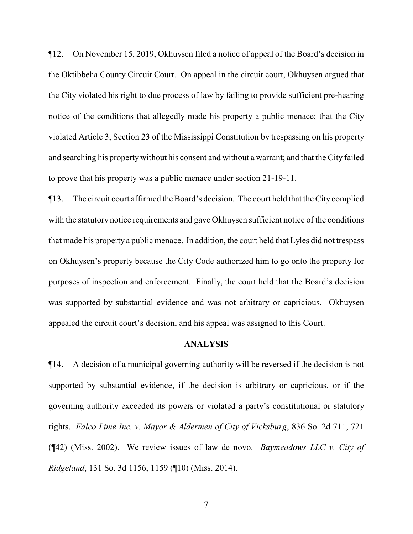¶12. On November 15, 2019, Okhuysen filed a notice of appeal of the Board's decision in the Oktibbeha County Circuit Court. On appeal in the circuit court, Okhuysen argued that the City violated his right to due process of law by failing to provide sufficient pre-hearing notice of the conditions that allegedly made his property a public menace; that the City violated Article 3, Section 23 of the Mississippi Constitution by trespassing on his property and searching his propertywithout his consent and without a warrant; and that the City failed to prove that his property was a public menace under section 21-19-11.

¶13. The circuit court affirmed the Board's decision. The court held that the City complied with the statutory notice requirements and gave Okhuysen sufficient notice of the conditions that made his property a public menace. In addition, the court held that Lyles did not trespass on Okhuysen's property because the City Code authorized him to go onto the property for purposes of inspection and enforcement. Finally, the court held that the Board's decision was supported by substantial evidence and was not arbitrary or capricious. Okhuysen appealed the circuit court's decision, and his appeal was assigned to this Court.

## **ANALYSIS**

¶14. A decision of a municipal governing authority will be reversed if the decision is not supported by substantial evidence, if the decision is arbitrary or capricious, or if the governing authority exceeded its powers or violated a party's constitutional or statutory rights. *Falco Lime Inc. v. Mayor & Aldermen of City of Vicksburg*, 836 So. 2d 711, 721 (¶42) (Miss. 2002). We review issues of law de novo. *Baymeadows LLC v. City of Ridgeland*, 131 So. 3d 1156, 1159 (¶10) (Miss. 2014).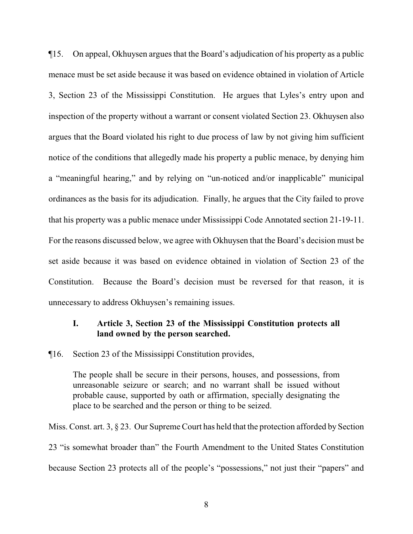¶15. On appeal, Okhuysen argues that the Board's adjudication of his property as a public menace must be set aside because it was based on evidence obtained in violation of Article 3, Section 23 of the Mississippi Constitution. He argues that Lyles's entry upon and inspection of the property without a warrant or consent violated Section 23. Okhuysen also argues that the Board violated his right to due process of law by not giving him sufficient notice of the conditions that allegedly made his property a public menace, by denying him a "meaningful hearing," and by relying on "un-noticed and/or inapplicable" municipal ordinances as the basis for its adjudication. Finally, he argues that the City failed to prove that his property was a public menace under Mississippi Code Annotated section 21-19-11. For the reasons discussed below, we agree with Okhuysen that the Board's decision must be set aside because it was based on evidence obtained in violation of Section 23 of the Constitution. Because the Board's decision must be reversed for that reason, it is unnecessary to address Okhuysen's remaining issues.

# **I. Article 3, Section 23 of the Mississippi Constitution protects all land owned by the person searched.**

¶16. Section 23 of the Mississippi Constitution provides,

The people shall be secure in their persons, houses, and possessions, from unreasonable seizure or search; and no warrant shall be issued without probable cause, supported by oath or affirmation, specially designating the place to be searched and the person or thing to be seized.

Miss. Const. art. 3, § 23. Our Supreme Court has held that the protection afforded by Section 23 "is somewhat broader than" the Fourth Amendment to the United States Constitution because Section 23 protects all of the people's "possessions," not just their "papers" and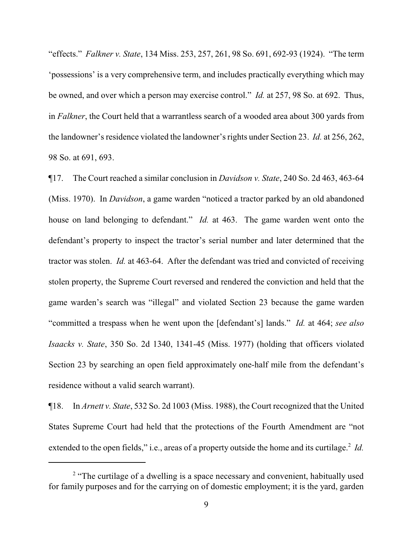"effects." *Falkner v. State*, 134 Miss. 253, 257, 261, 98 So. 691, 692-93 (1924). "The term 'possessions' is a very comprehensive term, and includes practically everything which may be owned, and over which a person may exercise control." *Id.* at 257, 98 So. at 692. Thus, in *Falkner*, the Court held that a warrantless search of a wooded area about 300 yards from the landowner's residence violated the landowner's rights under Section 23. *Id.* at 256, 262, 98 So. at 691, 693.

¶17. The Court reached a similar conclusion in *Davidson v. State*, 240 So. 2d 463, 463-64 (Miss. 1970). In *Davidson*, a game warden "noticed a tractor parked by an old abandoned house on land belonging to defendant." *Id.* at 463. The game warden went onto the defendant's property to inspect the tractor's serial number and later determined that the tractor was stolen. *Id.* at 463-64. After the defendant was tried and convicted of receiving stolen property, the Supreme Court reversed and rendered the conviction and held that the game warden's search was "illegal" and violated Section 23 because the game warden "committed a trespass when he went upon the [defendant's] lands." *Id.* at 464; *see also Isaacks v. State*, 350 So. 2d 1340, 1341-45 (Miss. 1977) (holding that officers violated Section 23 by searching an open field approximately one-half mile from the defendant's residence without a valid search warrant).

¶18. In *Arnett v. State*, 532 So. 2d 1003 (Miss. 1988), the Court recognized that the United States Supreme Court had held that the protections of the Fourth Amendment are "not extended to the open fields," i.e., areas of a property outside the home and its curtilage.<sup>2</sup> Id.

<sup>&</sup>lt;sup>2</sup> "The curtilage of a dwelling is a space necessary and convenient, habitually used for family purposes and for the carrying on of domestic employment; it is the yard, garden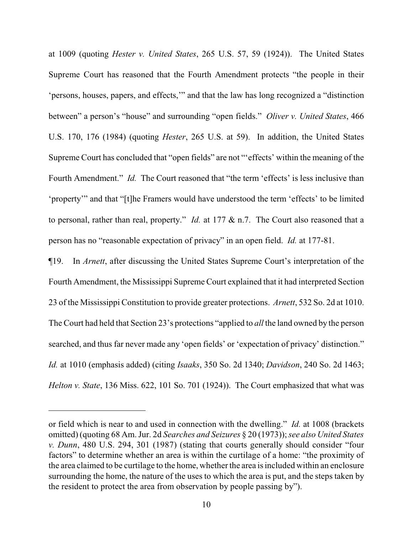at 1009 (quoting *Hester v. United States*, 265 U.S. 57, 59 (1924)). The United States Supreme Court has reasoned that the Fourth Amendment protects "the people in their 'persons, houses, papers, and effects,'" and that the law has long recognized a "distinction between" a person's "house" and surrounding "open fields." *Oliver v. United States*, 466 U.S. 170, 176 (1984) (quoting *Hester*, 265 U.S. at 59). In addition, the United States Supreme Court has concluded that "open fields" are not "'effects' within the meaning of the Fourth Amendment." *Id.* The Court reasoned that "the term 'effects' is less inclusive than 'property'" and that "[t]he Framers would have understood the term 'effects' to be limited to personal, rather than real, property." *Id.* at 177 & n.7. The Court also reasoned that a person has no "reasonable expectation of privacy" in an open field. *Id.* at 177-81.

¶19. In *Arnett*, after discussing the United States Supreme Court's interpretation of the Fourth Amendment, the Mississippi Supreme Court explained that it had interpreted Section 23 of the Mississippi Constitution to provide greater protections. *Arnett*, 532 So. 2d at 1010. The Court had held that Section 23's protections "applied to *all* the land owned by the person searched, and thus far never made any 'open fields' or 'expectation of privacy' distinction." *Id.* at 1010 (emphasis added) (citing *Isaaks*, 350 So. 2d 1340; *Davidson*, 240 So. 2d 1463; *Helton v. State*, 136 Miss. 622, 101 So. 701 (1924)). The Court emphasized that what was

or field which is near to and used in connection with the dwelling." *Id.* at 1008 (brackets omitted) (quoting 68 Am. Jur. 2d *Searches and Seizures* § 20 (1973)); *see also United States v. Dunn*, 480 U.S. 294, 301 (1987) (stating that courts generally should consider "four factors" to determine whether an area is within the curtilage of a home: "the proximity of the area claimed to be curtilage to the home, whether the area is included within an enclosure surrounding the home, the nature of the uses to which the area is put, and the steps taken by the resident to protect the area from observation by people passing by").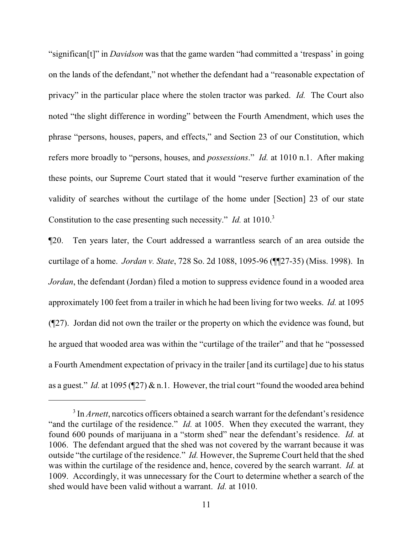"significan[t]" in *Davidson* was that the game warden "had committed a 'trespass' in going on the lands of the defendant," not whether the defendant had a "reasonable expectation of privacy" in the particular place where the stolen tractor was parked. *Id.* The Court also noted "the slight difference in wording" between the Fourth Amendment, which uses the phrase "persons, houses, papers, and effects," and Section 23 of our Constitution, which refers more broadly to "persons, houses, and *possessions*." *Id.* at 1010 n.1. After making these points, our Supreme Court stated that it would "reserve further examination of the validity of searches without the curtilage of the home under [Section] 23 of our state Constitution to the case presenting such necessity." *Id.* at 1010.<sup>3</sup>

¶20. Ten years later, the Court addressed a warrantless search of an area outside the curtilage of a home. *Jordan v. State*, 728 So. 2d 1088, 1095-96 (¶¶27-35) (Miss. 1998). In *Jordan*, the defendant (Jordan) filed a motion to suppress evidence found in a wooded area approximately 100 feet from a trailer in which he had been living for two weeks. *Id.* at 1095 (¶27). Jordan did not own the trailer or the property on which the evidence was found, but he argued that wooded area was within the "curtilage of the trailer" and that he "possessed a Fourth Amendment expectation of privacy in the trailer [and its curtilage] due to his status as a guest." *Id.* at 1095 (¶27) & n.1. However, the trial court "found the wooded area behind

<sup>&</sup>lt;sup>3</sup> In *Arnett*, narcotics officers obtained a search warrant for the defendant's residence "and the curtilage of the residence." *Id.* at 1005. When they executed the warrant, they found 600 pounds of marijuana in a "storm shed" near the defendant's residence. *Id.* at 1006. The defendant argued that the shed was not covered by the warrant because it was outside "the curtilage of the residence." *Id.* However, the Supreme Court held that the shed was within the curtilage of the residence and, hence, covered by the search warrant. *Id.* at 1009. Accordingly, it was unnecessary for the Court to determine whether a search of the shed would have been valid without a warrant. *Id.* at 1010.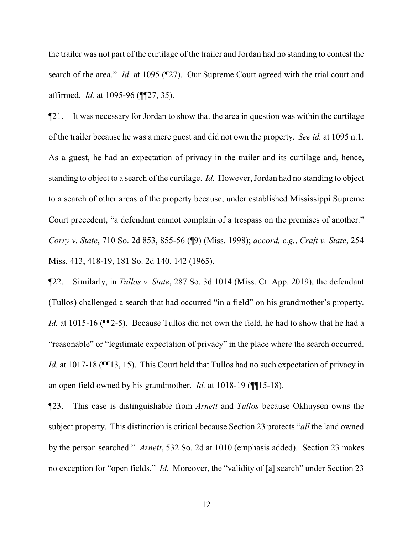the trailer was not part of the curtilage of the trailer and Jordan had no standing to contest the search of the area." *Id.* at 1095 (¶27). Our Supreme Court agreed with the trial court and affirmed. *Id.* at 1095-96 (¶¶27, 35).

¶21. It was necessary for Jordan to show that the area in question was within the curtilage of the trailer because he was a mere guest and did not own the property. *See id.* at 1095 n.1. As a guest, he had an expectation of privacy in the trailer and its curtilage and, hence, standing to object to a search of the curtilage. *Id.* However, Jordan had no standing to object to a search of other areas of the property because, under established Mississippi Supreme Court precedent, "a defendant cannot complain of a trespass on the premises of another." *Corry v. State*, 710 So. 2d 853, 855-56 (¶9) (Miss. 1998); *accord, e.g.*, *Craft v. State*, 254 Miss. 413, 418-19, 181 So. 2d 140, 142 (1965).

¶22. Similarly, in *Tullos v. State*, 287 So. 3d 1014 (Miss. Ct. App. 2019), the defendant (Tullos) challenged a search that had occurred "in a field" on his grandmother's property. *Id.* at 1015-16 ( $\mathbb{I}$  2-5). Because Tullos did not own the field, he had to show that he had a "reasonable" or "legitimate expectation of privacy" in the place where the search occurred. *Id.* at 1017-18 ( $\P$ [13, 15). This Court held that Tullos had no such expectation of privacy in an open field owned by his grandmother. *Id.* at 1018-19 (¶¶15-18).

¶23. This case is distinguishable from *Arnett* and *Tullos* because Okhuysen owns the subject property. This distinction is critical because Section 23 protects "*all* the land owned by the person searched." *Arnett*, 532 So. 2d at 1010 (emphasis added). Section 23 makes no exception for "open fields." *Id.* Moreover, the "validity of [a] search" under Section 23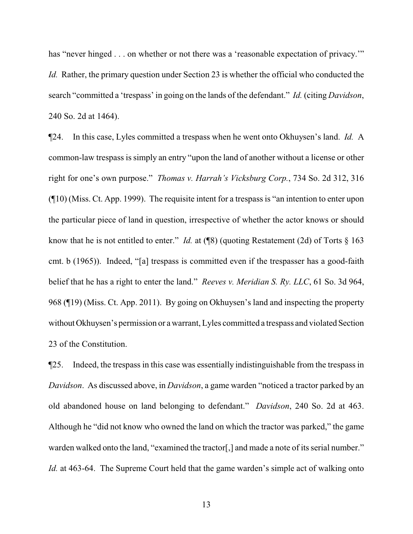has "never hinged . . . on whether or not there was a 'reasonable expectation of privacy.'" *Id.* Rather, the primary question under Section 23 is whether the official who conducted the search "committed a 'trespass' in going on the lands of the defendant." *Id.* (citing *Davidson*, 240 So. 2d at 1464).

¶24. In this case, Lyles committed a trespass when he went onto Okhuysen's land. *Id.* A common-law trespass is simply an entry "upon the land of another without a license or other right for one's own purpose." *Thomas v. Harrah's Vicksburg Corp.*, 734 So. 2d 312, 316 (¶10) (Miss. Ct. App. 1999). The requisite intent for a trespass is "an intention to enter upon the particular piece of land in question, irrespective of whether the actor knows or should know that he is not entitled to enter." *Id.* at (¶8) (quoting Restatement (2d) of Torts § 163 cmt. b (1965)). Indeed, "[a] trespass is committed even if the trespasser has a good-faith belief that he has a right to enter the land." *Reeves v. Meridian S. Ry. LLC*, 61 So. 3d 964, 968 (¶19) (Miss. Ct. App. 2011). By going on Okhuysen's land and inspecting the property without Okhuysen's permission or a warrant, Lyles committed a trespass and violated Section 23 of the Constitution.

¶25. Indeed, the trespass in this case was essentially indistinguishable from the trespass in *Davidson*. As discussed above, in *Davidson*, a game warden "noticed a tractor parked by an old abandoned house on land belonging to defendant." *Davidson*, 240 So. 2d at 463. Although he "did not know who owned the land on which the tractor was parked," the game warden walked onto the land, "examined the tractor[,] and made a note of its serial number." *Id.* at 463-64. The Supreme Court held that the game warden's simple act of walking onto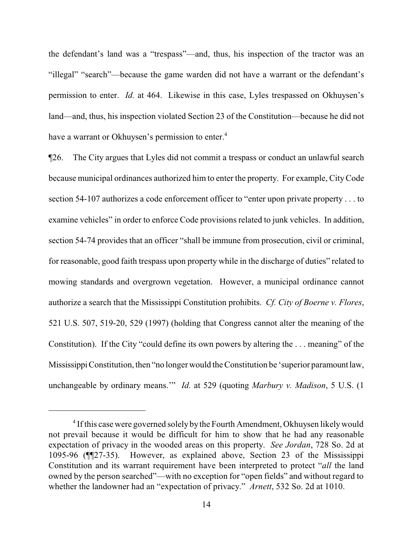the defendant's land was a "trespass"—and, thus, his inspection of the tractor was an "illegal" "search"—because the game warden did not have a warrant or the defendant's permission to enter. *Id.* at 464. Likewise in this case, Lyles trespassed on Okhuysen's land—and, thus, his inspection violated Section 23 of the Constitution—because he did not have a warrant or Okhuysen's permission to enter.<sup>4</sup>

¶26. The City argues that Lyles did not commit a trespass or conduct an unlawful search because municipal ordinances authorized him to enter the property. For example, CityCode section 54-107 authorizes a code enforcement officer to "enter upon private property . . . to examine vehicles" in order to enforce Code provisions related to junk vehicles. In addition, section 54-74 provides that an officer "shall be immune from prosecution, civil or criminal, for reasonable, good faith trespass upon property while in the discharge of duties" related to mowing standards and overgrown vegetation. However, a municipal ordinance cannot authorize a search that the Mississippi Constitution prohibits. *Cf. City of Boerne v. Flores*, 521 U.S. 507, 519-20, 529 (1997) (holding that Congress cannot alter the meaning of the Constitution). If the City "could define its own powers by altering the . . . meaning" of the Mississippi Constitution, then "no longer would the Constitution be 'superior paramount law, unchangeable by ordinary means.'" *Id.* at 529 (quoting *Marbury v. Madison*, 5 U.S. (1

<sup>&</sup>lt;sup>4</sup> If this case were governed solely by the Fourth Amendment, Okhuysen likely would not prevail because it would be difficult for him to show that he had any reasonable expectation of privacy in the wooded areas on this property. *See Jordan*, 728 So. 2d at 1095-96 (¶¶27-35). However, as explained above, Section 23 of the Mississippi Constitution and its warrant requirement have been interpreted to protect "*all* the land owned by the person searched"—with no exception for "open fields" and without regard to whether the landowner had an "expectation of privacy." *Arnett*, 532 So. 2d at 1010.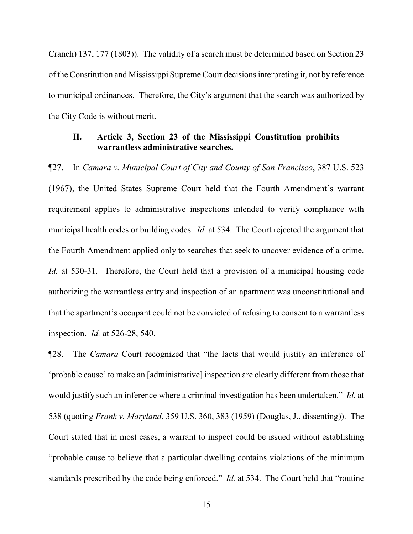Cranch) 137, 177 (1803)). The validity of a search must be determined based on Section 23 of the Constitution and Mississippi Supreme Court decisions interpreting it, not by reference to municipal ordinances. Therefore, the City's argument that the search was authorized by the City Code is without merit.

# **II. Article 3, Section 23 of the Mississippi Constitution prohibits warrantless administrative searches.**

¶27. In *Camara v. Municipal Court of City and County of San Francisco*, 387 U.S. 523 (1967), the United States Supreme Court held that the Fourth Amendment's warrant requirement applies to administrative inspections intended to verify compliance with municipal health codes or building codes. *Id.* at 534. The Court rejected the argument that the Fourth Amendment applied only to searches that seek to uncover evidence of a crime. *Id.* at 530-31. Therefore, the Court held that a provision of a municipal housing code authorizing the warrantless entry and inspection of an apartment was unconstitutional and that the apartment's occupant could not be convicted of refusing to consent to a warrantless inspection. *Id.* at 526-28, 540.

¶28. The *Camara* Court recognized that "the facts that would justify an inference of 'probable cause' to make an [administrative] inspection are clearly different from those that would justify such an inference where a criminal investigation has been undertaken." *Id.* at 538 (quoting *Frank v. Maryland*, 359 U.S. 360, 383 (1959) (Douglas, J., dissenting)). The Court stated that in most cases, a warrant to inspect could be issued without establishing "probable cause to believe that a particular dwelling contains violations of the minimum standards prescribed by the code being enforced." *Id.* at 534. The Court held that "routine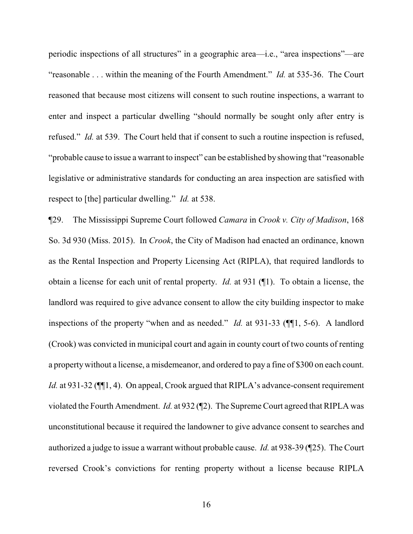periodic inspections of all structures" in a geographic area—i.e., "area inspections"—are "reasonable . . . within the meaning of the Fourth Amendment." *Id.* at 535-36. The Court reasoned that because most citizens will consent to such routine inspections, a warrant to enter and inspect a particular dwelling "should normally be sought only after entry is refused." *Id.* at 539. The Court held that if consent to such a routine inspection is refused, "probable cause to issue a warrant to inspect" can be established by showing that "reasonable legislative or administrative standards for conducting an area inspection are satisfied with respect to [the] particular dwelling." *Id.* at 538.

¶29. The Mississippi Supreme Court followed *Camara* in *Crook v. City of Madison*, 168 So. 3d 930 (Miss. 2015). In *Crook*, the City of Madison had enacted an ordinance, known as the Rental Inspection and Property Licensing Act (RIPLA), that required landlords to obtain a license for each unit of rental property. *Id.* at 931 (¶1). To obtain a license, the landlord was required to give advance consent to allow the city building inspector to make inspections of the property "when and as needed." *Id.* at 931-33 (¶¶1, 5-6). A landlord (Crook) was convicted in municipal court and again in county court of two counts of renting a propertywithout a license, a misdemeanor, and ordered to pay a fine of \$300 on each count. *Id.* at 931-32 ( $\P$ [1, 4). On appeal, Crook argued that RIPLA's advance-consent requirement violated the Fourth Amendment. *Id.* at 932 (¶2). The Supreme Court agreed that RIPLA was unconstitutional because it required the landowner to give advance consent to searches and authorized a judge to issue a warrant without probable cause. *Id.* at 938-39 (¶25). The Court reversed Crook's convictions for renting property without a license because RIPLA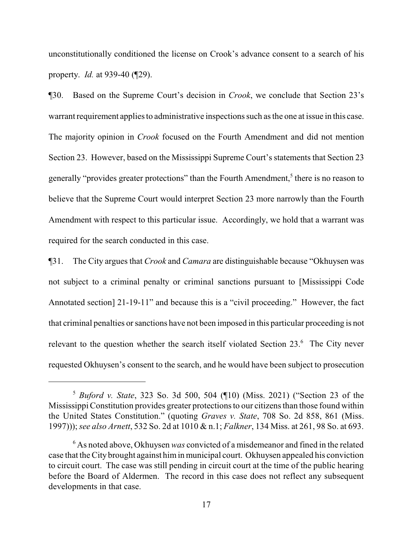unconstitutionally conditioned the license on Crook's advance consent to a search of his property. *Id.* at 939-40 (¶29).

¶30. Based on the Supreme Court's decision in *Crook*, we conclude that Section 23's warrant requirement applies to administrative inspections such as the one at issue in this case. The majority opinion in *Crook* focused on the Fourth Amendment and did not mention Section 23. However, based on the Mississippi Supreme Court's statements that Section 23 generally "provides greater protections" than the Fourth Amendment,<sup>5</sup> there is no reason to believe that the Supreme Court would interpret Section 23 more narrowly than the Fourth Amendment with respect to this particular issue. Accordingly, we hold that a warrant was required for the search conducted in this case.

¶31. The City argues that *Crook* and *Camara* are distinguishable because "Okhuysen was not subject to a criminal penalty or criminal sanctions pursuant to [Mississippi Code Annotated section] 21-19-11" and because this is a "civil proceeding." However, the fact that criminal penalties or sanctions have not been imposed in this particular proceeding is not relevant to the question whether the search itself violated Section 23.<sup>6</sup> The City never requested Okhuysen's consent to the search, and he would have been subject to prosecution

<sup>5</sup> *Buford v. State*, 323 So. 3d 500, 504 (¶10) (Miss. 2021) ("Section 23 of the Mississippi Constitution provides greater protections to our citizens than those found within the United States Constitution." (quoting *Graves v. State*, 708 So. 2d 858, 861 (Miss. 1997)));*see also Arnett*, 532 So. 2d at 1010 & n.1; *Falkner*, 134 Miss. at 261, 98 So. at 693.

<sup>6</sup> As noted above, Okhuysen *was* convicted of a misdemeanor and fined in the related case that the City brought against himin municipal court. Okhuysen appealed his conviction to circuit court. The case was still pending in circuit court at the time of the public hearing before the Board of Aldermen. The record in this case does not reflect any subsequent developments in that case.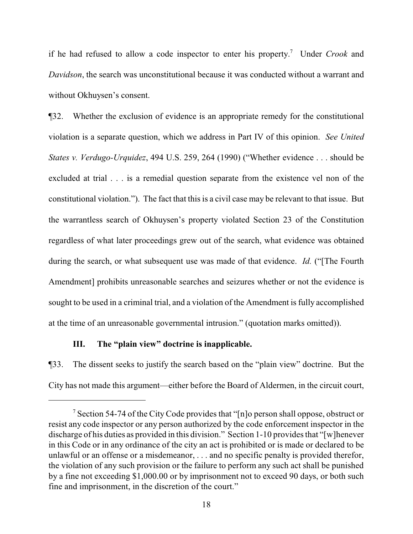if he had refused to allow a code inspector to enter his property. <sup>7</sup> Under *Crook* and *Davidson*, the search was unconstitutional because it was conducted without a warrant and without Okhuysen's consent.

¶32. Whether the exclusion of evidence is an appropriate remedy for the constitutional violation is a separate question, which we address in Part IV of this opinion. *See United States v. Verdugo-Urquidez*, 494 U.S. 259, 264 (1990) ("Whether evidence . . . should be excluded at trial . . . is a remedial question separate from the existence vel non of the constitutional violation."). The fact that this is a civil case may be relevant to that issue. But the warrantless search of Okhuysen's property violated Section 23 of the Constitution regardless of what later proceedings grew out of the search, what evidence was obtained during the search, or what subsequent use was made of that evidence. *Id.* ("[The Fourth Amendment] prohibits unreasonable searches and seizures whether or not the evidence is sought to be used in a criminal trial, and a violation of the Amendment is fully accomplished at the time of an unreasonable governmental intrusion." (quotation marks omitted)).

# **III. The "plain view" doctrine is inapplicable.**

¶33. The dissent seeks to justify the search based on the "plain view" doctrine. But the City has not made this argument—either before the Board of Aldermen, in the circuit court,

<sup>&</sup>lt;sup>7</sup> Section 54-74 of the City Code provides that "[n]o person shall oppose, obstruct or resist any code inspector or any person authorized by the code enforcement inspector in the discharge of his duties as provided in this division." Section 1-10 provides that "[w]henever in this Code or in any ordinance of the city an act is prohibited or is made or declared to be unlawful or an offense or a misdemeanor, . . . and no specific penalty is provided therefor, the violation of any such provision or the failure to perform any such act shall be punished by a fine not exceeding \$1,000.00 or by imprisonment not to exceed 90 days, or both such fine and imprisonment, in the discretion of the court."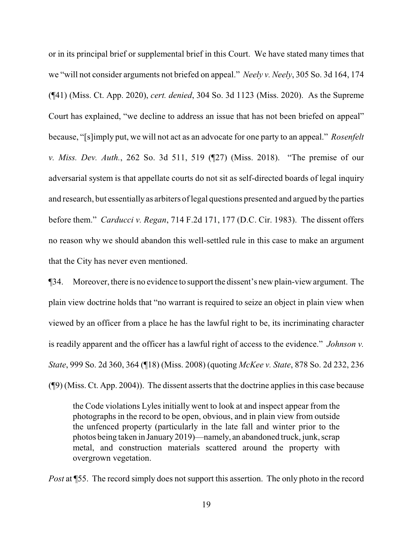or in its principal brief or supplemental brief in this Court. We have stated many times that we "will not consider arguments not briefed on appeal." *Neely v. Neely*, 305 So. 3d 164, 174 (¶41) (Miss. Ct. App. 2020), *cert. denied*, 304 So. 3d 1123 (Miss. 2020). As the Supreme Court has explained, "we decline to address an issue that has not been briefed on appeal" because, "[s]imply put, we will not act as an advocate for one party to an appeal." *Rosenfelt v. Miss. Dev. Auth.*, 262 So. 3d 511, 519 (¶27) (Miss. 2018). "The premise of our adversarial system is that appellate courts do not sit as self-directed boards of legal inquiry and research, but essentially as arbiters of legal questions presented and argued by the parties before them." *Carducci v. Regan*, 714 F.2d 171, 177 (D.C. Cir. 1983). The dissent offers no reason why we should abandon this well-settled rule in this case to make an argument that the City has never even mentioned.

¶34. Moreover, there is no evidence to support the dissent's new plain-view argument. The plain view doctrine holds that "no warrant is required to seize an object in plain view when viewed by an officer from a place he has the lawful right to be, its incriminating character is readily apparent and the officer has a lawful right of access to the evidence." *Johnson v. State*, 999 So. 2d 360, 364 (¶18) (Miss. 2008) (quoting *McKee v. State*, 878 So. 2d 232, 236 (¶9) (Miss. Ct. App. 2004)). The dissent asserts that the doctrine applies in this case because

the Code violations Lyles initially went to look at and inspect appear from the photographs in the record to be open, obvious, and in plain view from outside the unfenced property (particularly in the late fall and winter prior to the photos being taken in January2019)—namely, an abandoned truck, junk, scrap metal, and construction materials scattered around the property with overgrown vegetation.

*Post* at **[55.** The record simply does not support this assertion. The only photo in the record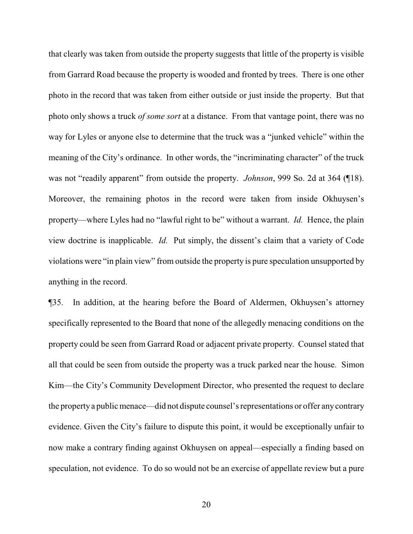that clearly was taken from outside the property suggests that little of the property is visible from Garrard Road because the property is wooded and fronted by trees. There is one other photo in the record that was taken from either outside or just inside the property. But that photo only shows a truck *of some sort* at a distance. From that vantage point, there was no way for Lyles or anyone else to determine that the truck was a "junked vehicle" within the meaning of the City's ordinance. In other words, the "incriminating character" of the truck was not "readily apparent" from outside the property. *Johnson*, 999 So. 2d at 364 (¶18). Moreover, the remaining photos in the record were taken from inside Okhuysen's property—where Lyles had no "lawful right to be" without a warrant. *Id.* Hence, the plain view doctrine is inapplicable. *Id.* Put simply, the dissent's claim that a variety of Code violations were "in plain view" from outside the property is pure speculation unsupported by anything in the record.

¶35. In addition, at the hearing before the Board of Aldermen, Okhuysen's attorney specifically represented to the Board that none of the allegedly menacing conditions on the property could be seen from Garrard Road or adjacent private property. Counsel stated that all that could be seen from outside the property was a truck parked near the house. Simon Kim—the City's Community Development Director, who presented the request to declare the propertya public menace—did not dispute counsel's representations or offer anycontrary evidence. Given the City's failure to dispute this point, it would be exceptionally unfair to now make a contrary finding against Okhuysen on appeal—especially a finding based on speculation, not evidence. To do so would not be an exercise of appellate review but a pure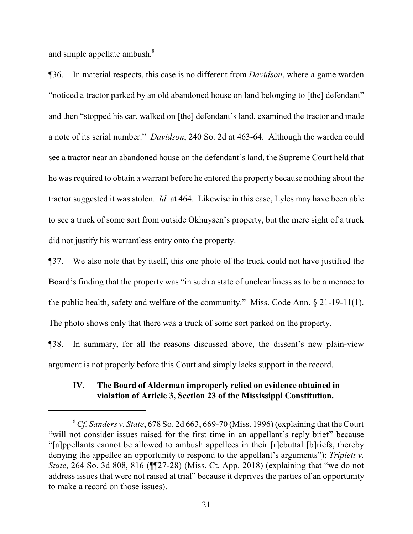and simple appellate ambush.<sup>8</sup>

¶36. In material respects, this case is no different from *Davidson*, where a game warden "noticed a tractor parked by an old abandoned house on land belonging to [the] defendant" and then "stopped his car, walked on [the] defendant's land, examined the tractor and made a note of its serial number." *Davidson*, 240 So. 2d at 463-64. Although the warden could see a tractor near an abandoned house on the defendant's land, the Supreme Court held that he was required to obtain a warrant before he entered the property because nothing about the tractor suggested it was stolen. *Id.* at 464. Likewise in this case, Lyles may have been able to see a truck of some sort from outside Okhuysen's property, but the mere sight of a truck did not justify his warrantless entry onto the property.

¶37. We also note that by itself, this one photo of the truck could not have justified the Board's finding that the property was "in such a state of uncleanliness as to be a menace to the public health, safety and welfare of the community." Miss. Code Ann. § 21-19-11(1). The photo shows only that there was a truck of some sort parked on the property.

¶38. In summary, for all the reasons discussed above, the dissent's new plain-view argument is not properly before this Court and simply lacks support in the record.

# **IV. The Board of Alderman improperly relied on evidence obtained in violation of Article 3, Section 23 of the Mississippi Constitution.**

<sup>8</sup>*Cf. Sanders v. State*, 678 So. 2d 663, 669-70 (Miss. 1996) (explaining that the Court "will not consider issues raised for the first time in an appellant's reply brief" because "[a]ppellants cannot be allowed to ambush appellees in their [r]ebuttal [b]riefs, thereby denying the appellee an opportunity to respond to the appellant's arguments"); *Triplett v. State*, 264 So. 3d 808, 816 (¶[27-28) (Miss. Ct. App. 2018) (explaining that "we do not address issues that were not raised at trial" because it deprives the parties of an opportunity to make a record on those issues).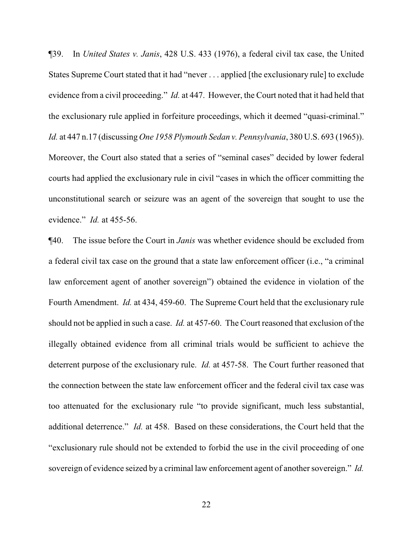¶39. In *United States v. Janis*, 428 U.S. 433 (1976), a federal civil tax case, the United States Supreme Court stated that it had "never . . . applied [the exclusionary rule] to exclude evidence from a civil proceeding." *Id.* at 447. However, the Court noted that it had held that the exclusionary rule applied in forfeiture proceedings, which it deemed "quasi-criminal." *Id.* at 447 n.17 (discussing *One 1958 Plymouth Sedan v. Pennsylvania*, 380 U.S. 693 (1965)). Moreover, the Court also stated that a series of "seminal cases" decided by lower federal courts had applied the exclusionary rule in civil "cases in which the officer committing the unconstitutional search or seizure was an agent of the sovereign that sought to use the evidence." *Id.* at 455-56.

¶40. The issue before the Court in *Janis* was whether evidence should be excluded from a federal civil tax case on the ground that a state law enforcement officer (i.e., "a criminal law enforcement agent of another sovereign") obtained the evidence in violation of the Fourth Amendment. *Id.* at 434, 459-60. The Supreme Court held that the exclusionary rule should not be applied in such a case. *Id.* at 457-60. The Court reasoned that exclusion of the illegally obtained evidence from all criminal trials would be sufficient to achieve the deterrent purpose of the exclusionary rule. *Id.* at 457-58. The Court further reasoned that the connection between the state law enforcement officer and the federal civil tax case was too attenuated for the exclusionary rule "to provide significant, much less substantial, additional deterrence." *Id.* at 458. Based on these considerations, the Court held that the "exclusionary rule should not be extended to forbid the use in the civil proceeding of one sovereign of evidence seized by a criminal law enforcement agent of another sovereign." *Id.*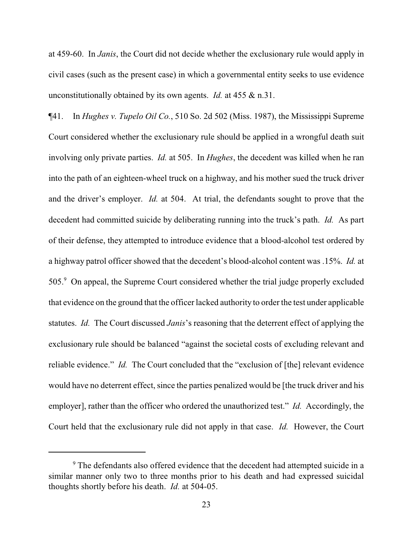at 459-60. In *Janis*, the Court did not decide whether the exclusionary rule would apply in civil cases (such as the present case) in which a governmental entity seeks to use evidence unconstitutionally obtained by its own agents. *Id.* at 455 & n.31.

¶41. In *Hughes v. Tupelo Oil Co.*, 510 So. 2d 502 (Miss. 1987), the Mississippi Supreme Court considered whether the exclusionary rule should be applied in a wrongful death suit involving only private parties. *Id.* at 505. In *Hughes*, the decedent was killed when he ran into the path of an eighteen-wheel truck on a highway, and his mother sued the truck driver and the driver's employer. *Id.* at 504. At trial, the defendants sought to prove that the decedent had committed suicide by deliberating running into the truck's path. *Id.* As part of their defense, they attempted to introduce evidence that a blood-alcohol test ordered by a highway patrol officer showed that the decedent's blood-alcohol content was .15%. *Id.* at 505.<sup>9</sup> On appeal, the Supreme Court considered whether the trial judge properly excluded that evidence on the ground that the officer lacked authority to order the test under applicable statutes. *Id.* The Court discussed *Janis*'s reasoning that the deterrent effect of applying the exclusionary rule should be balanced "against the societal costs of excluding relevant and reliable evidence." *Id.* The Court concluded that the "exclusion of [the] relevant evidence would have no deterrent effect, since the parties penalized would be [the truck driver and his employer], rather than the officer who ordered the unauthorized test." *Id.* Accordingly, the Court held that the exclusionary rule did not apply in that case. *Id.* However, the Court

<sup>&</sup>lt;sup>9</sup> The defendants also offered evidence that the decedent had attempted suicide in a similar manner only two to three months prior to his death and had expressed suicidal thoughts shortly before his death. *Id.* at 504-05.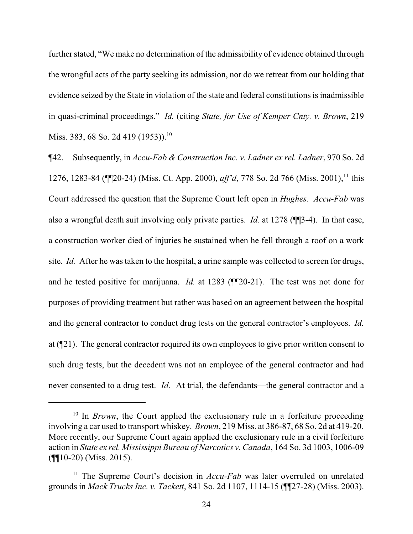further stated, "We make no determination of the admissibility of evidence obtained through the wrongful acts of the party seeking its admission, nor do we retreat from our holding that evidence seized by the State in violation of the state and federal constitutions is inadmissible in quasi-criminal proceedings." *Id.* (citing *State, for Use of Kemper Cnty. v. Brown*, 219 Miss. 383, 68 So. 2d 419 (1953)).<sup>10</sup>

¶42. Subsequently, in *Accu-Fab & Construction Inc. v. Ladner ex rel. Ladner*, 970 So. 2d 1276, 1283-84 (¶¶20-24) (Miss. Ct. App. 2000), *aff'd*, 778 So. 2d 766 (Miss. 2001), 11 this Court addressed the question that the Supreme Court left open in *Hughes*. *Accu-Fab* was also a wrongful death suit involving only private parties. *Id.* at 1278 (¶¶3-4). In that case, a construction worker died of injuries he sustained when he fell through a roof on a work site. *Id.* After he was taken to the hospital, a urine sample was collected to screen for drugs, and he tested positive for marijuana. *Id.* at 1283 (¶¶20-21). The test was not done for purposes of providing treatment but rather was based on an agreement between the hospital and the general contractor to conduct drug tests on the general contractor's employees. *Id.* at (¶21). The general contractor required its own employees to give prior written consent to such drug tests, but the decedent was not an employee of the general contractor and had never consented to a drug test. *Id.* At trial, the defendants—the general contractor and a

<sup>&</sup>lt;sup>10</sup> In *Brown*, the Court applied the exclusionary rule in a forfeiture proceeding involving a car used to transport whiskey. *Brown*, 219 Miss. at 386-87, 68 So. 2d at 419-20. More recently, our Supreme Court again applied the exclusionary rule in a civil forfeiture action in *State ex rel. Mississippi Bureau of Narcotics v. Canada*, 164 So. 3d 1003, 1006-09 (¶¶10-20) (Miss. 2015).

<sup>&</sup>lt;sup>11</sup> The Supreme Court's decision in *Accu-Fab* was later overruled on unrelated grounds in *Mack Trucks Inc. v. Tackett*, 841 So. 2d 1107, 1114-15 (¶¶27-28) (Miss. 2003).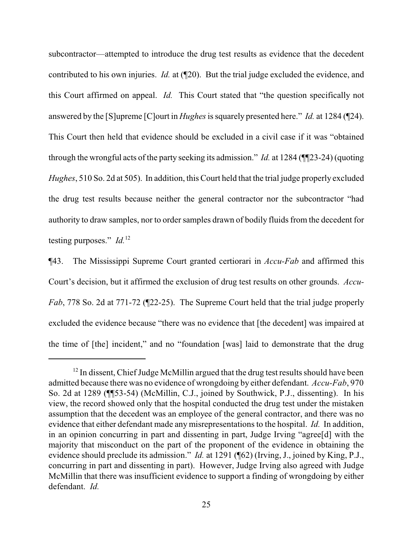subcontractor—attempted to introduce the drug test results as evidence that the decedent contributed to his own injuries. *Id.* at (¶20). But the trial judge excluded the evidence, and this Court affirmed on appeal. *Id.* This Court stated that "the question specifically not answered by the [S]upreme [C]ourt in *Hughes*is squarely presented here." *Id.* at 1284 (¶24). This Court then held that evidence should be excluded in a civil case if it was "obtained through the wrongful acts of the party seeking its admission." *Id.* at 1284 (¶¶23-24) (quoting *Hughes*, 510 So. 2d at 505). In addition, this Court held that the trial judge properly excluded the drug test results because neither the general contractor nor the subcontractor "had authority to draw samples, nor to order samples drawn of bodily fluids from the decedent for testing purposes." *Id.*<sup>12</sup>

¶43. The Mississippi Supreme Court granted certiorari in *Accu-Fab* and affirmed this Court's decision, but it affirmed the exclusion of drug test results on other grounds. *Accu-Fab*, 778 So. 2d at 771-72 (¶22-25). The Supreme Court held that the trial judge properly excluded the evidence because "there was no evidence that [the decedent] was impaired at the time of [the] incident," and no "foundation [was] laid to demonstrate that the drug

 $12$  In dissent, Chief Judge McMillin argued that the drug test results should have been admitted because there was no evidence of wrongdoing by either defendant. *Accu-Fab*, 970 So. 2d at 1289 (¶¶53-54) (McMillin, C.J., joined by Southwick, P.J., dissenting). In his view, the record showed only that the hospital conducted the drug test under the mistaken assumption that the decedent was an employee of the general contractor, and there was no evidence that either defendant made any misrepresentations to the hospital. *Id.* In addition, in an opinion concurring in part and dissenting in part, Judge Irving "agree[d] with the majority that misconduct on the part of the proponent of the evidence in obtaining the evidence should preclude its admission." *Id.* at 1291 (¶62) (Irving, J., joined by King, P.J., concurring in part and dissenting in part). However, Judge Irving also agreed with Judge McMillin that there was insufficient evidence to support a finding of wrongdoing by either defendant. *Id.*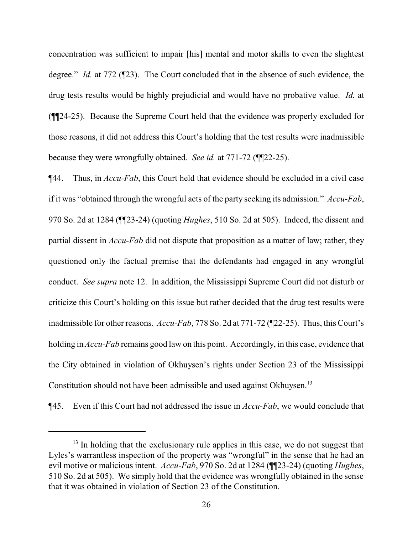concentration was sufficient to impair [his] mental and motor skills to even the slightest degree." *Id.* at 772 (¶23). The Court concluded that in the absence of such evidence, the drug tests results would be highly prejudicial and would have no probative value. *Id.* at (¶¶24-25). Because the Supreme Court held that the evidence was properly excluded for those reasons, it did not address this Court's holding that the test results were inadmissible because they were wrongfully obtained. *See id.* at 771-72 (¶¶22-25).

¶44. Thus, in *Accu-Fab*, this Court held that evidence should be excluded in a civil case if it was "obtained through the wrongful acts of the party seeking its admission." *Accu-Fab*, 970 So. 2d at 1284 (¶¶23-24) (quoting *Hughes*, 510 So. 2d at 505). Indeed, the dissent and partial dissent in *Accu-Fab* did not dispute that proposition as a matter of law; rather, they questioned only the factual premise that the defendants had engaged in any wrongful conduct. *See supra* note 12. In addition, the Mississippi Supreme Court did not disturb or criticize this Court's holding on this issue but rather decided that the drug test results were inadmissible for other reasons. *Accu-Fab*, 778 So. 2d at 771-72 (¶22-25). Thus, this Court's holding in *Accu-Fab* remains good law on this point. Accordingly, in this case, evidence that the City obtained in violation of Okhuysen's rights under Section 23 of the Mississippi Constitution should not have been admissible and used against Okhuysen.<sup>13</sup>

¶45. Even if this Court had not addressed the issue in *Accu-Fab*, we would conclude that

 $13$  In holding that the exclusionary rule applies in this case, we do not suggest that Lyles's warrantless inspection of the property was "wrongful" in the sense that he had an evil motive or malicious intent. *Accu-Fab*, 970 So. 2d at 1284 (¶¶23-24) (quoting *Hughes*, 510 So. 2d at 505). We simply hold that the evidence was wrongfully obtained in the sense that it was obtained in violation of Section 23 of the Constitution.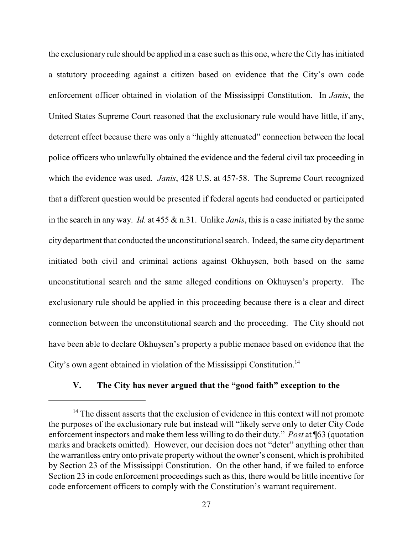the exclusionary rule should be applied in a case such as this one, where the City has initiated a statutory proceeding against a citizen based on evidence that the City's own code enforcement officer obtained in violation of the Mississippi Constitution. In *Janis*, the United States Supreme Court reasoned that the exclusionary rule would have little, if any, deterrent effect because there was only a "highly attenuated" connection between the local police officers who unlawfully obtained the evidence and the federal civil tax proceeding in which the evidence was used. *Janis*, 428 U.S. at 457-58. The Supreme Court recognized that a different question would be presented if federal agents had conducted or participated in the search in any way. *Id.* at 455 & n.31. Unlike *Janis*, this is a case initiated by the same city department that conducted the unconstitutional search. Indeed, the same city department initiated both civil and criminal actions against Okhuysen, both based on the same unconstitutional search and the same alleged conditions on Okhuysen's property. The exclusionary rule should be applied in this proceeding because there is a clear and direct connection between the unconstitutional search and the proceeding. The City should not have been able to declare Okhuysen's property a public menace based on evidence that the City's own agent obtained in violation of the Mississippi Constitution.<sup>14</sup>

# **V. The City has never argued that the "good faith" exception to the**

 $14$  The dissent asserts that the exclusion of evidence in this context will not promote the purposes of the exclusionary rule but instead will "likely serve only to deter City Code enforcement inspectors and make them less willing to do their duty." *Post* at ¶63 (quotation marks and brackets omitted). However, our decision does not "deter" anything other than the warrantless entry onto private property without the owner's consent, which is prohibited by Section 23 of the Mississippi Constitution. On the other hand, if we failed to enforce Section 23 in code enforcement proceedings such as this, there would be little incentive for code enforcement officers to comply with the Constitution's warrant requirement.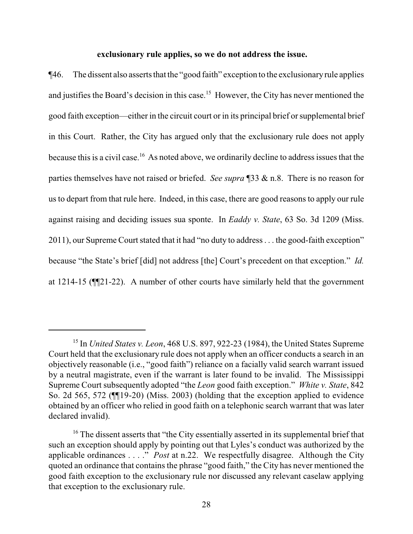## **exclusionary rule applies, so we do not address the issue.**

¶46. The dissent also asserts that the "good faith" exception to the exclusionaryrule applies and justifies the Board's decision in this case.<sup>15</sup> However, the City has never mentioned the good faith exception—either in the circuit court or in its principal brief or supplemental brief in this Court. Rather, the City has argued only that the exclusionary rule does not apply because this is a civil case.<sup>16</sup> As noted above, we ordinarily decline to address issues that the parties themselves have not raised or briefed. *See supra* ¶33 & n.8. There is no reason for us to depart from that rule here. Indeed, in this case, there are good reasons to apply our rule against raising and deciding issues sua sponte. In *Eaddy v. State*, 63 So. 3d 1209 (Miss. 2011), our Supreme Court stated that it had "no duty to address . . . the good-faith exception" because "the State's brief [did] not address [the] Court's precedent on that exception." *Id.* at 1214-15 (¶¶21-22). A number of other courts have similarly held that the government

<sup>15</sup> In *United States v. Leon*, 468 U.S. 897, 922-23 (1984), the United States Supreme Court held that the exclusionary rule does not apply when an officer conducts a search in an objectively reasonable (i.e., "good faith") reliance on a facially valid search warrant issued by a neutral magistrate, even if the warrant is later found to be invalid. The Mississippi Supreme Court subsequently adopted "the *Leon* good faith exception." *White v. State*, 842 So. 2d 565, 572 (¶¶19-20) (Miss. 2003) (holding that the exception applied to evidence obtained by an officer who relied in good faith on a telephonic search warrant that was later declared invalid).

 $16$ <sup>16</sup> The dissent asserts that "the City essentially asserted in its supplemental brief that such an exception should apply by pointing out that Lyles's conduct was authorized by the applicable ordinances . . . ." *Post* at n.22. We respectfully disagree. Although the City quoted an ordinance that contains the phrase "good faith," the City has never mentioned the good faith exception to the exclusionary rule nor discussed any relevant caselaw applying that exception to the exclusionary rule.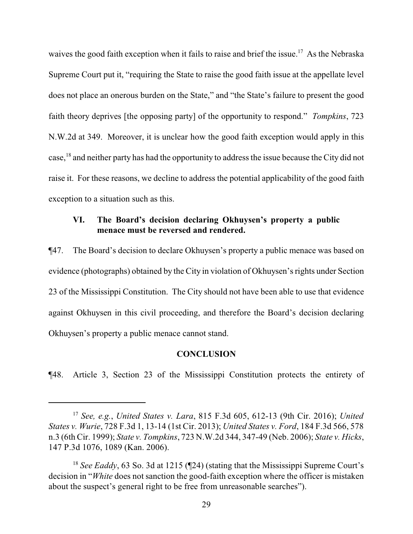waives the good faith exception when it fails to raise and brief the issue.<sup>17</sup> As the Nebraska Supreme Court put it, "requiring the State to raise the good faith issue at the appellate level does not place an onerous burden on the State," and "the State's failure to present the good faith theory deprives [the opposing party] of the opportunity to respond." *Tompkins*, 723 N.W.2d at 349. Moreover, it is unclear how the good faith exception would apply in this case,<sup>18</sup> and neither party has had the opportunity to address the issue because the City did not raise it. For these reasons, we decline to address the potential applicability of the good faith exception to a situation such as this.

# **VI. The Board's decision declaring Okhuysen's property a public menace must be reversed and rendered.**

¶47. The Board's decision to declare Okhuysen's property a public menace was based on evidence (photographs) obtained by the City in violation of Okhuysen's rights under Section 23 of the Mississippi Constitution. The City should not have been able to use that evidence against Okhuysen in this civil proceeding, and therefore the Board's decision declaring Okhuysen's property a public menace cannot stand.

## **CONCLUSION**

¶48. Article 3, Section 23 of the Mississippi Constitution protects the entirety of

<sup>17</sup> *See, e.g.*, *United States v. Lara*, 815 F.3d 605, 612-13 (9th Cir. 2016); *United States v. Wurie*, 728 F.3d 1, 13-14 (1st Cir. 2013); *United States v. Ford*, 184 F.3d 566, 578 n.3 (6th Cir. 1999); *State v. Tompkins*, 723 N.W.2d 344, 347-49 (Neb. 2006); *State v. Hicks*, 147 P.3d 1076, 1089 (Kan. 2006).

<sup>&</sup>lt;sup>18</sup> *See Eaddy*, 63 So. 3d at 1215 (124) (stating that the Mississippi Supreme Court's decision in "*White* does not sanction the good-faith exception where the officer is mistaken about the suspect's general right to be free from unreasonable searches").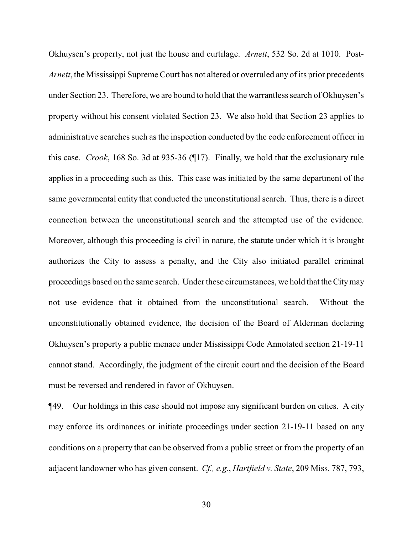Okhuysen's property, not just the house and curtilage. *Arnett*, 532 So. 2d at 1010. Post-*Arnett*, the Mississippi Supreme Court has not altered or overruled any of its prior precedents under Section 23. Therefore, we are bound to hold that the warrantless search of Okhuysen's property without his consent violated Section 23. We also hold that Section 23 applies to administrative searches such as the inspection conducted by the code enforcement officer in this case. *Crook*, 168 So. 3d at 935-36 (¶17). Finally, we hold that the exclusionary rule applies in a proceeding such as this. This case was initiated by the same department of the same governmental entity that conducted the unconstitutional search. Thus, there is a direct connection between the unconstitutional search and the attempted use of the evidence. Moreover, although this proceeding is civil in nature, the statute under which it is brought authorizes the City to assess a penalty, and the City also initiated parallel criminal proceedings based on the same search. Under these circumstances, we hold that the Citymay not use evidence that it obtained from the unconstitutional search. Without the unconstitutionally obtained evidence, the decision of the Board of Alderman declaring Okhuysen's property a public menace under Mississippi Code Annotated section 21-19-11 cannot stand. Accordingly, the judgment of the circuit court and the decision of the Board must be reversed and rendered in favor of Okhuysen.

¶49. Our holdings in this case should not impose any significant burden on cities. A city may enforce its ordinances or initiate proceedings under section 21-19-11 based on any conditions on a property that can be observed from a public street or from the property of an adjacent landowner who has given consent. *Cf., e.g.*, *Hartfield v. State*, 209 Miss. 787, 793,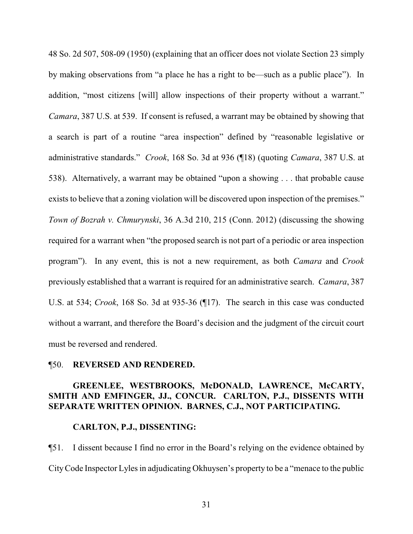48 So. 2d 507, 508-09 (1950) (explaining that an officer does not violate Section 23 simply by making observations from "a place he has a right to be—such as a public place"). In addition, "most citizens [will] allow inspections of their property without a warrant." *Camara*, 387 U.S. at 539. If consent is refused, a warrant may be obtained by showing that a search is part of a routine "area inspection" defined by "reasonable legislative or administrative standards." *Crook*, 168 So. 3d at 936 (¶18) (quoting *Camara*, 387 U.S. at 538). Alternatively, a warrant may be obtained "upon a showing . . . that probable cause exists to believe that a zoning violation will be discovered upon inspection of the premises." *Town of Bozrah v. Chmurynski*, 36 A.3d 210, 215 (Conn. 2012) (discussing the showing required for a warrant when "the proposed search is not part of a periodic or area inspection program"). In any event, this is not a new requirement, as both *Camara* and *Crook* previously established that a warrant is required for an administrative search. *Camara*, 387 U.S. at 534; *Crook*, 168 So. 3d at 935-36 (¶17). The search in this case was conducted without a warrant, and therefore the Board's decision and the judgment of the circuit court must be reversed and rendered.

## ¶50. **REVERSED AND RENDERED.**

# **GREENLEE, WESTBROOKS, McDONALD, LAWRENCE, McCARTY, SMITH AND EMFINGER, JJ., CONCUR. CARLTON, P.J., DISSENTS WITH SEPARATE WRITTEN OPINION. BARNES, C.J., NOT PARTICIPATING.**

# **CARLTON, P.J., DISSENTING:**

¶51. I dissent because I find no error in the Board's relying on the evidence obtained by CityCode Inspector Lyles in adjudicating Okhuysen's property to be a "menace to the public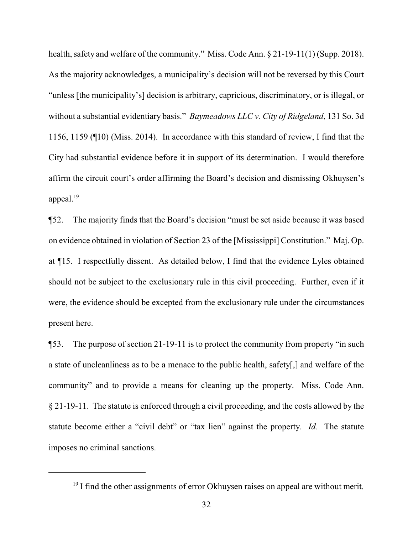health, safety and welfare of the community." Miss. Code Ann. § 21-19-11(1) (Supp. 2018). As the majority acknowledges, a municipality's decision will not be reversed by this Court "unless [the municipality's] decision is arbitrary, capricious, discriminatory, or is illegal, or without a substantial evidentiary basis." *Baymeadows LLC v. City of Ridgeland*, 131 So. 3d 1156, 1159 (¶10) (Miss. 2014). In accordance with this standard of review, I find that the City had substantial evidence before it in support of its determination. I would therefore affirm the circuit court's order affirming the Board's decision and dismissing Okhuysen's appeal. $19$ 

¶52. The majority finds that the Board's decision "must be set aside because it was based on evidence obtained in violation of Section 23 of the [Mississippi] Constitution." Maj. Op. at ¶15. I respectfully dissent. As detailed below, I find that the evidence Lyles obtained should not be subject to the exclusionary rule in this civil proceeding. Further, even if it were, the evidence should be excepted from the exclusionary rule under the circumstances present here.

¶53. The purpose of section 21-19-11 is to protect the community from property "in such a state of uncleanliness as to be a menace to the public health, safety[,] and welfare of the community" and to provide a means for cleaning up the property. Miss. Code Ann. § 21-19-11. The statute is enforced through a civil proceeding, and the costs allowed by the statute become either a "civil debt" or "tax lien" against the property. *Id.* The statute imposes no criminal sanctions.

<sup>&</sup>lt;sup>19</sup> I find the other assignments of error Okhuysen raises on appeal are without merit.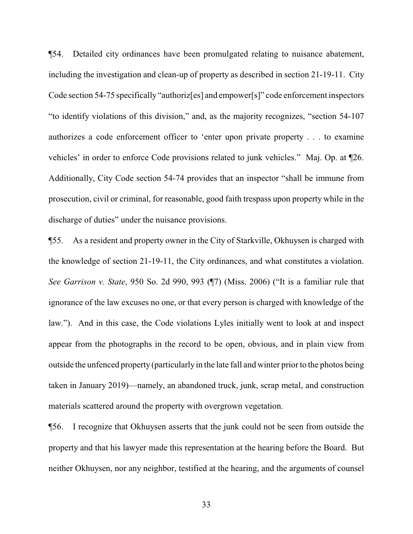¶54. Detailed city ordinances have been promulgated relating to nuisance abatement, including the investigation and clean-up of property as described in section 21-19-11. City Code section 54-75 specifically "authoriz[es] and empower[s]" code enforcement inspectors "to identify violations of this division," and, as the majority recognizes, "section 54-107 authorizes a code enforcement officer to 'enter upon private property . . . to examine vehicles' in order to enforce Code provisions related to junk vehicles." Maj. Op. at ¶26. Additionally, City Code section 54-74 provides that an inspector "shall be immune from prosecution, civil or criminal, for reasonable, good faith trespass upon property while in the discharge of duties" under the nuisance provisions.

¶55. As a resident and property owner in the City of Starkville, Okhuysen is charged with the knowledge of section 21-19-11, the City ordinances, and what constitutes a violation. *See Garrison v. State*, 950 So. 2d 990, 993 (¶7) (Miss. 2006) ("It is a familiar rule that ignorance of the law excuses no one, or that every person is charged with knowledge of the law."). And in this case, the Code violations Lyles initially went to look at and inspect appear from the photographs in the record to be open, obvious, and in plain view from outside the unfenced property (particularly in the late fall and winter prior to the photos being taken in January 2019)—namely, an abandoned truck, junk, scrap metal, and construction materials scattered around the property with overgrown vegetation.

¶56. I recognize that Okhuysen asserts that the junk could not be seen from outside the property and that his lawyer made this representation at the hearing before the Board. But neither Okhuysen, nor any neighbor, testified at the hearing, and the arguments of counsel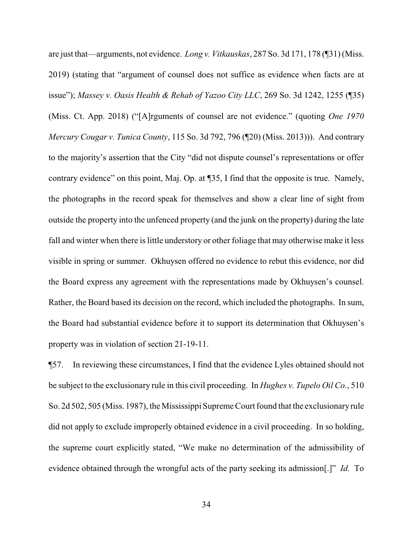are just that—arguments, not evidence. *Long v. Vitkauskas*, 287 So. 3d 171, 178 (¶31) (Miss. 2019) (stating that "argument of counsel does not suffice as evidence when facts are at issue"); *Massey v. Oasis Health & Rehab of Yazoo City LLC*, 269 So. 3d 1242, 1255 (¶35) (Miss. Ct. App. 2018) ("[A]rguments of counsel are not evidence." (quoting *One 1970 Mercury Cougar v. Tunica County*, 115 So. 3d 792, 796 (¶20) (Miss. 2013))). And contrary to the majority's assertion that the City "did not dispute counsel's representations or offer contrary evidence" on this point, Maj. Op. at ¶35, I find that the opposite is true. Namely, the photographs in the record speak for themselves and show a clear line of sight from outside the property into the unfenced property (and the junk on the property) during the late fall and winter when there is little understory or other foliage that may otherwise make it less visible in spring or summer. Okhuysen offered no evidence to rebut this evidence, nor did the Board express any agreement with the representations made by Okhuysen's counsel. Rather, the Board based its decision on the record, which included the photographs. In sum, the Board had substantial evidence before it to support its determination that Okhuysen's property was in violation of section 21-19-11.

¶57. In reviewing these circumstances, I find that the evidence Lyles obtained should not be subject to the exclusionary rule in this civil proceeding. In *Hughes v. Tupelo Oil Co.*, 510 So. 2d 502, 505 (Miss. 1987), the Mississippi Supreme Court found that the exclusionary rule did not apply to exclude improperly obtained evidence in a civil proceeding. In so holding, the supreme court explicitly stated, "We make no determination of the admissibility of evidence obtained through the wrongful acts of the party seeking its admission[.]" *Id.* To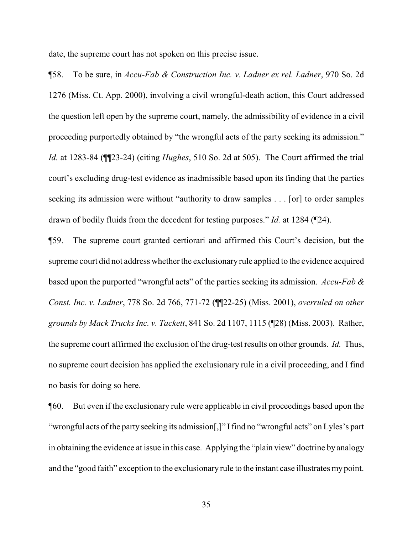date, the supreme court has not spoken on this precise issue.

¶58. To be sure, in *Accu-Fab & Construction Inc. v. Ladner ex rel. Ladner*, 970 So. 2d 1276 (Miss. Ct. App. 2000), involving a civil wrongful-death action, this Court addressed the question left open by the supreme court, namely, the admissibility of evidence in a civil proceeding purportedly obtained by "the wrongful acts of the party seeking its admission." *Id.* at 1283-84 (¶¶23-24) (citing *Hughes*, 510 So. 2d at 505). The Court affirmed the trial court's excluding drug-test evidence as inadmissible based upon its finding that the parties seeking its admission were without "authority to draw samples . . . [or] to order samples drawn of bodily fluids from the decedent for testing purposes." *Id.* at 1284 (¶24).

¶59. The supreme court granted certiorari and affirmed this Court's decision, but the supreme court did not address whether the exclusionary rule applied to the evidence acquired based upon the purported "wrongful acts" of the parties seeking its admission. *Accu-Fab & Const. Inc. v. Ladner*, 778 So. 2d 766, 771-72 (¶¶22-25) (Miss. 2001), *overruled on other grounds by Mack Trucks Inc. v. Tackett*, 841 So. 2d 1107, 1115 (¶28) (Miss. 2003). Rather, the supreme court affirmed the exclusion of the drug-test results on other grounds. *Id.* Thus, no supreme court decision has applied the exclusionary rule in a civil proceeding, and I find no basis for doing so here.

¶60. But even if the exclusionary rule were applicable in civil proceedings based upon the "wrongful acts of the party seeking its admission[,]" I find no "wrongful acts" on Lyles's part in obtaining the evidence at issue in this case. Applying the "plain view" doctrine by analogy and the "good faith" exception to the exclusionary rule to the instant case illustrates my point.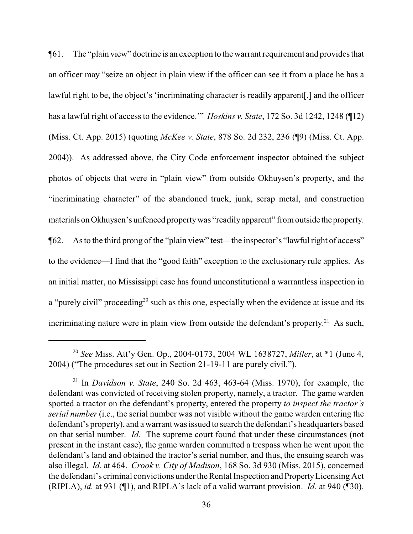¶61. The "plain view" doctrine is an exception to the warrant requirement and provides that an officer may "seize an object in plain view if the officer can see it from a place he has a lawful right to be, the object's 'incriminating character is readily apparent[,] and the officer has a lawful right of access to the evidence.'" *Hoskins v. State*, 172 So. 3d 1242, 1248 (¶12) (Miss. Ct. App. 2015) (quoting *McKee v. State*, 878 So. 2d 232, 236 (¶9) (Miss. Ct. App. 2004)). As addressed above, the City Code enforcement inspector obtained the subject photos of objects that were in "plain view" from outside Okhuysen's property, and the "incriminating character" of the abandoned truck, junk, scrap metal, and construction materials on Okhuysen's unfenced property was "readily apparent" from outside the property. ¶62. As to the third prong of the "plain view" test—the inspector's "lawful right of access" to the evidence—I find that the "good faith" exception to the exclusionary rule applies. As an initial matter, no Mississippi case has found unconstitutional a warrantless inspection in a "purely civil" proceeding<sup>20</sup> such as this one, especially when the evidence at issue and its incriminating nature were in plain view from outside the defendant's property.<sup>21</sup> As such,

<sup>20</sup> *See* Miss. Att'y Gen. Op., 2004-0173, 2004 WL 1638727, *Miller*, at \*1 (June 4, 2004) ("The procedures set out in Section 21-19-11 are purely civil.").

<sup>21</sup> In *Davidson v. State*, 240 So. 2d 463, 463-64 (Miss. 1970), for example, the defendant was convicted of receiving stolen property, namely, a tractor. The game warden spotted a tractor on the defendant's property, entered the property *to inspect the tractor's serial number* (i.e., the serial number was not visible without the game warden entering the defendant's property), and a warrant was issued to search the defendant's headquarters based on that serial number. *Id.* The supreme court found that under these circumstances (not present in the instant case), the game warden committed a trespass when he went upon the defendant's land and obtained the tractor's serial number, and thus, the ensuing search was also illegal. *Id.* at 464. *Crook v. City of Madison*, 168 So. 3d 930 (Miss. 2015), concerned the defendant's criminal convictions under the Rental Inspection and PropertyLicensing Act (RIPLA), *id.* at 931 (¶1), and RIPLA's lack of a valid warrant provision. *Id.* at 940 (¶30).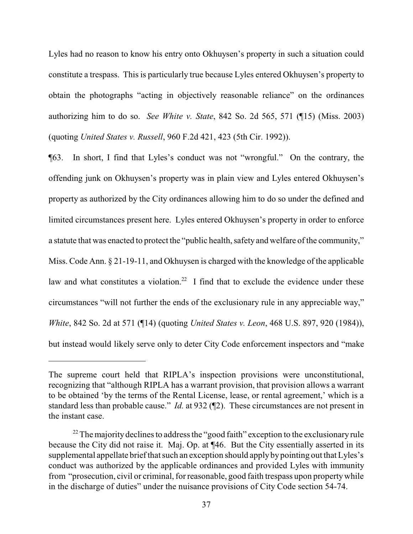Lyles had no reason to know his entry onto Okhuysen's property in such a situation could constitute a trespass. This is particularly true because Lyles entered Okhuysen's property to obtain the photographs "acting in objectively reasonable reliance" on the ordinances authorizing him to do so. *See White v. State*, 842 So. 2d 565, 571 (¶15) (Miss. 2003) (quoting *United States v. Russell*, 960 F.2d 421, 423 (5th Cir. 1992)).

¶63. In short, I find that Lyles's conduct was not "wrongful." On the contrary, the offending junk on Okhuysen's property was in plain view and Lyles entered Okhuysen's property as authorized by the City ordinances allowing him to do so under the defined and limited circumstances present here. Lyles entered Okhuysen's property in order to enforce a statute that was enacted to protect the "public health, safety and welfare of the community," Miss. Code Ann. § 21-19-11, and Okhuysen is charged with the knowledge of the applicable law and what constitutes a violation.<sup>22</sup> I find that to exclude the evidence under these circumstances "will not further the ends of the exclusionary rule in any appreciable way," *White*, 842 So. 2d at 571 (¶14) (quoting *United States v. Leon*, 468 U.S. 897, 920 (1984)), but instead would likely serve only to deter City Code enforcement inspectors and "make

The supreme court held that RIPLA's inspection provisions were unconstitutional, recognizing that "although RIPLA has a warrant provision, that provision allows a warrant to be obtained 'by the terms of the Rental License, lease, or rental agreement,' which is a standard less than probable cause." *Id.* at 932 (¶2). These circumstances are not present in the instant case.

 $22$  The majority declines to address the "good faith" exception to the exclusionary rule because the City did not raise it. Maj. Op. at ¶46. But the City essentially asserted in its supplemental appellate brief that such an exception should apply by pointing out that Lyles's conduct was authorized by the applicable ordinances and provided Lyles with immunity from "prosecution, civil or criminal, for reasonable, good faith trespass upon propertywhile in the discharge of duties" under the nuisance provisions of City Code section 54-74.